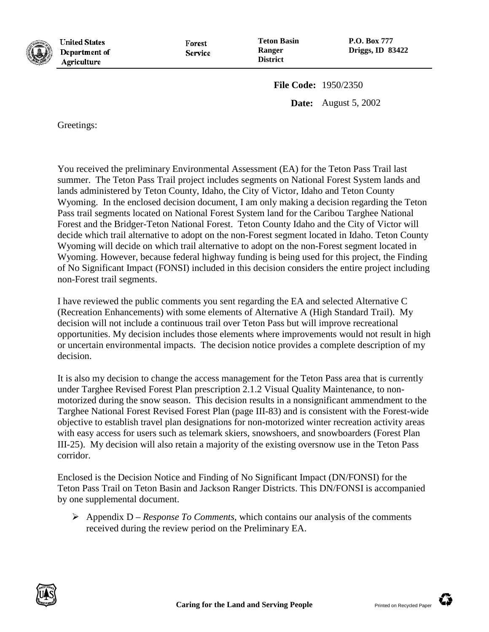

**United States** Department of **Agriculture** 

Forest **Service**  **P.O. Box 777 Driggs, ID 83422**

**File Code:** 1950/2350

**Date:** August 5, 2002

Greetings:

You received the preliminary Environmental Assessment (EA) for the Teton Pass Trail last summer. The Teton Pass Trail project includes segments on National Forest System lands and lands administered by Teton County, Idaho, the City of Victor, Idaho and Teton County Wyoming. In the enclosed decision document, I am only making a decision regarding the Teton Pass trail segments located on National Forest System land for the Caribou Targhee National Forest and the Bridger-Teton National Forest. Teton County Idaho and the City of Victor will decide which trail alternative to adopt on the non-Forest segment located in Idaho. Teton County Wyoming will decide on which trail alternative to adopt on the non-Forest segment located in Wyoming. However, because federal highway funding is being used for this project, the Finding of No Significant Impact (FONSI) included in this decision considers the entire project including non-Forest trail segments.

I have reviewed the public comments you sent regarding the EA and selected Alternative C (Recreation Enhancements) with some elements of Alternative A (High Standard Trail). My decision will not include a continuous trail over Teton Pass but will improve recreational opportunities. My decision includes those elements where improvements would not result in high or uncertain environmental impacts. The decision notice provides a complete description of my decision.

It is also my decision to change the access management for the Teton Pass area that is currently under Targhee Revised Forest Plan prescription 2.1.2 Visual Quality Maintenance, to nonmotorized during the snow season. This decision results in a nonsignificant ammendment to the Targhee National Forest Revised Forest Plan (page III-83) and is consistent with the Forest-wide objective to establish travel plan designations for non-motorized winter recreation activity areas with easy access for users such as telemark skiers, snowshoers, and snowboarders (Forest Plan III-25). My decision will also retain a majority of the existing oversnow use in the Teton Pass corridor.

Enclosed is the Decision Notice and Finding of No Significant Impact (DN/FONSI) for the Teton Pass Trail on Teton Basin and Jackson Ranger Districts. This DN/FONSI is accompanied by one supplemental document.

 $\triangleright$  Appendix D – *Response To Comments*, which contains our analysis of the comments received during the review period on the Preliminary EA.



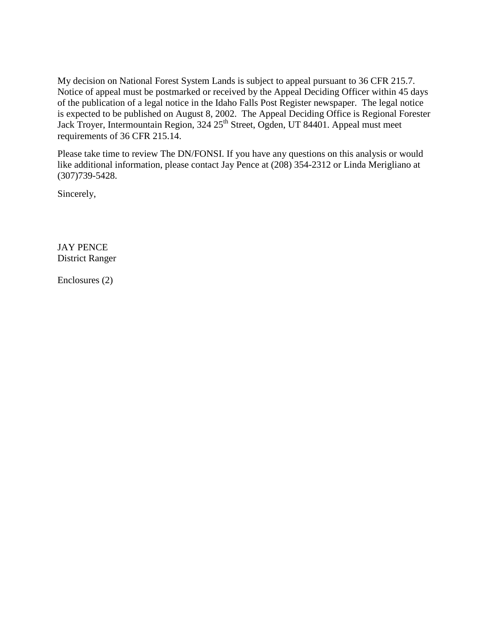My decision on National Forest System Lands is subject to appeal pursuant to 36 CFR 215.7. Notice of appeal must be postmarked or received by the Appeal Deciding Officer within 45 days of the publication of a legal notice in the Idaho Falls Post Register newspaper. The legal notice is expected to be published on August 8, 2002. The Appeal Deciding Office is Regional Forester Jack Troyer, Intermountain Region, 324 25<sup>th</sup> Street, Ogden, UT 84401. Appeal must meet requirements of 36 CFR 215.14.

Please take time to review The DN/FONSI. If you have any questions on this analysis or would like additional information, please contact Jay Pence at (208) 354-2312 or Linda Merigliano at (307)739-5428.

Sincerely,

JAY PENCE District Ranger

Enclosures (2)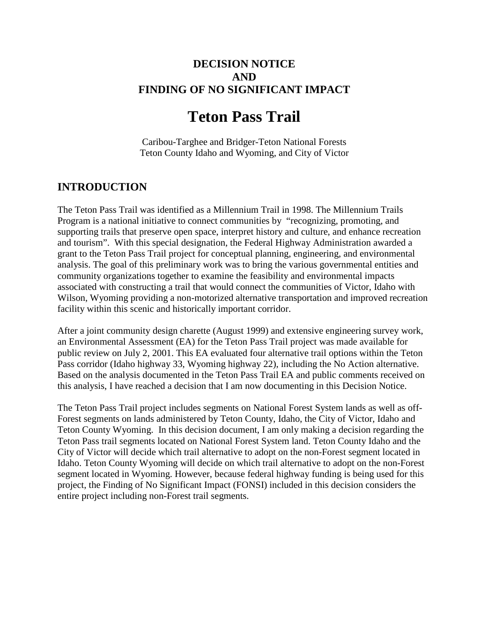### **DECISION NOTICE AND FINDING OF NO SIGNIFICANT IMPACT**

# **Teton Pass Trail**

Caribou-Targhee and Bridger-Teton National Forests Teton County Idaho and Wyoming, and City of Victor

### **INTRODUCTION**

The Teton Pass Trail was identified as a Millennium Trail in 1998. The Millennium Trails Program is a national initiative to connect communities by "recognizing, promoting, and supporting trails that preserve open space, interpret history and culture, and enhance recreation and tourism". With this special designation, the Federal Highway Administration awarded a grant to the Teton Pass Trail project for conceptual planning, engineering, and environmental analysis. The goal of this preliminary work was to bring the various governmental entities and community organizations together to examine the feasibility and environmental impacts associated with constructing a trail that would connect the communities of Victor, Idaho with Wilson, Wyoming providing a non-motorized alternative transportation and improved recreation facility within this scenic and historically important corridor.

After a joint community design charette (August 1999) and extensive engineering survey work, an Environmental Assessment (EA) for the Teton Pass Trail project was made available for public review on July 2, 2001. This EA evaluated four alternative trail options within the Teton Pass corridor (Idaho highway 33, Wyoming highway 22), including the No Action alternative. Based on the analysis documented in the Teton Pass Trail EA and public comments received on this analysis, I have reached a decision that I am now documenting in this Decision Notice.

The Teton Pass Trail project includes segments on National Forest System lands as well as off-Forest segments on lands administered by Teton County, Idaho, the City of Victor, Idaho and Teton County Wyoming. In this decision document, I am only making a decision regarding the Teton Pass trail segments located on National Forest System land. Teton County Idaho and the City of Victor will decide which trail alternative to adopt on the non-Forest segment located in Idaho. Teton County Wyoming will decide on which trail alternative to adopt on the non-Forest segment located in Wyoming. However, because federal highway funding is being used for this project, the Finding of No Significant Impact (FONSI) included in this decision considers the entire project including non-Forest trail segments.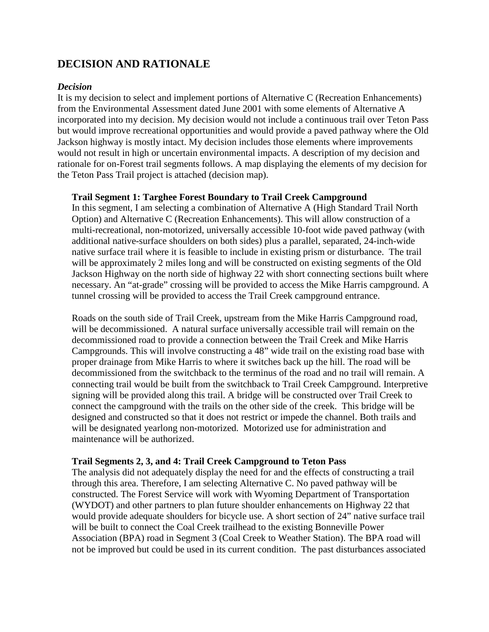### **DECISION AND RATIONALE**

#### *Decision*

It is my decision to select and implement portions of Alternative C (Recreation Enhancements) from the Environmental Assessment dated June 2001 with some elements of Alternative A incorporated into my decision. My decision would not include a continuous trail over Teton Pass but would improve recreational opportunities and would provide a paved pathway where the Old Jackson highway is mostly intact. My decision includes those elements where improvements would not result in high or uncertain environmental impacts. A description of my decision and rationale for on-Forest trail segments follows. A map displaying the elements of my decision for the Teton Pass Trail project is attached (decision map).

#### **Trail Segment 1: Targhee Forest Boundary to Trail Creek Campground**

In this segment, I am selecting a combination of Alternative A (High Standard Trail North Option) and Alternative C (Recreation Enhancements). This will allow construction of a multi-recreational, non-motorized, universally accessible 10-foot wide paved pathway (with additional native-surface shoulders on both sides) plus a parallel, separated, 24-inch-wide native surface trail where it is feasible to include in existing prism or disturbance. The trail will be approximately 2 miles long and will be constructed on existing segments of the Old Jackson Highway on the north side of highway 22 with short connecting sections built where necessary. An "at-grade" crossing will be provided to access the Mike Harris campground. A tunnel crossing will be provided to access the Trail Creek campground entrance.

Roads on the south side of Trail Creek, upstream from the Mike Harris Campground road, will be decommissioned. A natural surface universally accessible trail will remain on the decommissioned road to provide a connection between the Trail Creek and Mike Harris Campgrounds. This will involve constructing a 48" wide trail on the existing road base with proper drainage from Mike Harris to where it switches back up the hill. The road will be decommissioned from the switchback to the terminus of the road and no trail will remain. A connecting trail would be built from the switchback to Trail Creek Campground. Interpretive signing will be provided along this trail. A bridge will be constructed over Trail Creek to connect the campground with the trails on the other side of the creek. This bridge will be designed and constructed so that it does not restrict or impede the channel. Both trails and will be designated yearlong non-motorized. Motorized use for administration and maintenance will be authorized.

#### **Trail Segments 2, 3, and 4: Trail Creek Campground to Teton Pass**

The analysis did not adequately display the need for and the effects of constructing a trail through this area. Therefore, I am selecting Alternative C. No paved pathway will be constructed. The Forest Service will work with Wyoming Department of Transportation (WYDOT) and other partners to plan future shoulder enhancements on Highway 22 that would provide adequate shoulders for bicycle use. A short section of 24" native surface trail will be built to connect the Coal Creek trailhead to the existing Bonneville Power Association (BPA) road in Segment 3 (Coal Creek to Weather Station). The BPA road will not be improved but could be used in its current condition. The past disturbances associated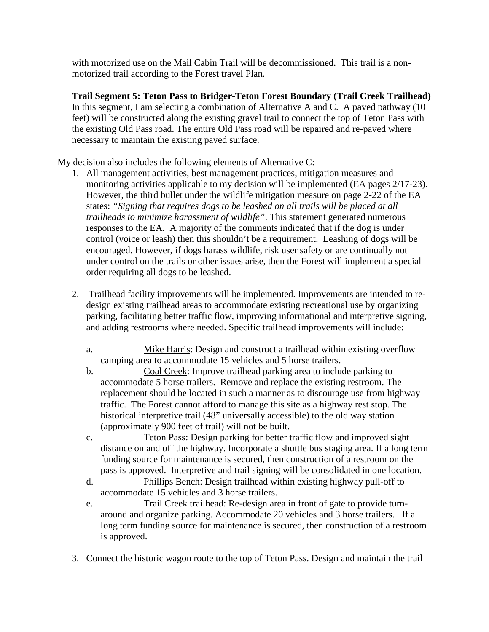with motorized use on the Mail Cabin Trail will be decommissioned. This trail is a nonmotorized trail according to the Forest travel Plan.

**Trail Segment 5: Teton Pass to Bridger-Teton Forest Boundary (Trail Creek Trailhead)** In this segment, I am selecting a combination of Alternative A and C. A paved pathway (10) feet) will be constructed along the existing gravel trail to connect the top of Teton Pass with the existing Old Pass road. The entire Old Pass road will be repaired and re-paved where necessary to maintain the existing paved surface.

My decision also includes the following elements of Alternative C:

- 1. All management activities, best management practices, mitigation measures and monitoring activities applicable to my decision will be implemented (EA pages 2/17-23). However, the third bullet under the wildlife mitigation measure on page 2-22 of the EA states: *"Signing that requires dogs to be leashed on all trails will be placed at all trailheads to minimize harassment of wildlife"*. This statement generated numerous responses to the EA. A majority of the comments indicated that if the dog is under control (voice or leash) then this shouldn't be a requirement. Leashing of dogs will be encouraged. However, if dogs harass wildlife, risk user safety or are continually not under control on the trails or other issues arise, then the Forest will implement a special order requiring all dogs to be leashed.
- 2. Trailhead facility improvements will be implemented. Improvements are intended to redesign existing trailhead areas to accommodate existing recreational use by organizing parking, facilitating better traffic flow, improving informational and interpretive signing, and adding restrooms where needed. Specific trailhead improvements will include:
	- a. Mike Harris: Design and construct a trailhead within existing overflow camping area to accommodate 15 vehicles and 5 horse trailers.
	- b. Coal Creek: Improve trailhead parking area to include parking to accommodate 5 horse trailers. Remove and replace the existing restroom. The replacement should be located in such a manner as to discourage use from highway traffic. The Forest cannot afford to manage this site as a highway rest stop. The historical interpretive trail (48" universally accessible) to the old way station (approximately 900 feet of trail) will not be built.
	- c. Teton Pass: Design parking for better traffic flow and improved sight distance on and off the highway. Incorporate a shuttle bus staging area. If a long term funding source for maintenance is secured, then construction of a restroom on the pass is approved. Interpretive and trail signing will be consolidated in one location.
	- d. Phillips Bench: Design trailhead within existing highway pull-off to accommodate 15 vehicles and 3 horse trailers.
	- e. Trail Creek trailhead: Re-design area in front of gate to provide turnaround and organize parking. Accommodate 20 vehicles and 3 horse trailers. If a long term funding source for maintenance is secured, then construction of a restroom is approved.
- 3. Connect the historic wagon route to the top of Teton Pass. Design and maintain the trail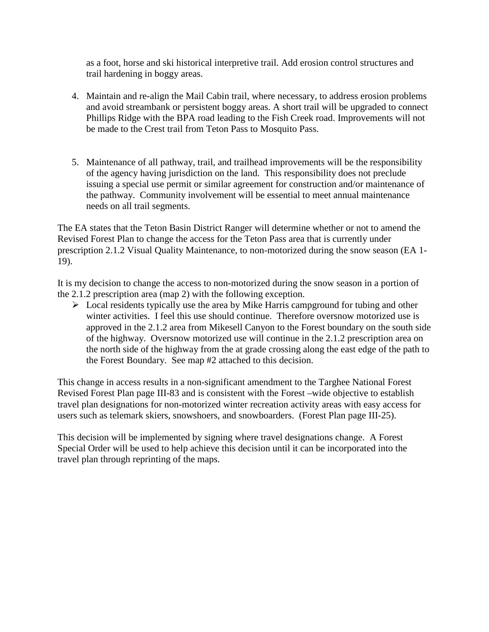as a foot, horse and ski historical interpretive trail. Add erosion control structures and trail hardening in boggy areas.

- 4. Maintain and re-align the Mail Cabin trail, where necessary, to address erosion problems and avoid streambank or persistent boggy areas. A short trail will be upgraded to connect Phillips Ridge with the BPA road leading to the Fish Creek road. Improvements will not be made to the Crest trail from Teton Pass to Mosquito Pass.
- 5. Maintenance of all pathway, trail, and trailhead improvements will be the responsibility of the agency having jurisdiction on the land. This responsibility does not preclude issuing a special use permit or similar agreement for construction and/or maintenance of the pathway. Community involvement will be essential to meet annual maintenance needs on all trail segments.

The EA states that the Teton Basin District Ranger will determine whether or not to amend the Revised Forest Plan to change the access for the Teton Pass area that is currently under prescription 2.1.2 Visual Quality Maintenance, to non-motorized during the snow season (EA 1- 19).

It is my decision to change the access to non-motorized during the snow season in a portion of the 2.1.2 prescription area (map 2) with the following exception.

 $\triangleright$  Local residents typically use the area by Mike Harris campground for tubing and other winter activities. I feel this use should continue. Therefore oversnow motorized use is approved in the 2.1.2 area from Mikesell Canyon to the Forest boundary on the south side of the highway. Oversnow motorized use will continue in the 2.1.2 prescription area on the north side of the highway from the at grade crossing along the east edge of the path to the Forest Boundary. See map #2 attached to this decision.

This change in access results in a non-significant amendment to the Targhee National Forest Revised Forest Plan page III-83 and is consistent with the Forest –wide objective to establish travel plan designations for non-motorized winter recreation activity areas with easy access for users such as telemark skiers, snowshoers, and snowboarders. (Forest Plan page III-25).

This decision will be implemented by signing where travel designations change. A Forest Special Order will be used to help achieve this decision until it can be incorporated into the travel plan through reprinting of the maps.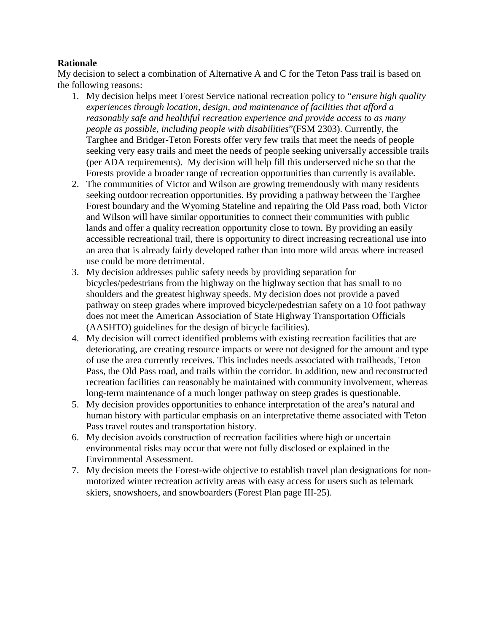#### **Rationale**

My decision to select a combination of Alternative A and C for the Teton Pass trail is based on the following reasons:

- 1. My decision helps meet Forest Service national recreation policy to "*ensure high quality experiences through location, design, and maintenance of facilities that afford a reasonably safe and healthful recreation experience and provide access to as many people as possible, including people with disabilities*"(FSM 2303). Currently, the Targhee and Bridger-Teton Forests offer very few trails that meet the needs of people seeking very easy trails and meet the needs of people seeking universally accessible trails (per ADA requirements). My decision will help fill this underserved niche so that the Forests provide a broader range of recreation opportunities than currently is available.
- 2. The communities of Victor and Wilson are growing tremendously with many residents seeking outdoor recreation opportunities. By providing a pathway between the Targhee Forest boundary and the Wyoming Stateline and repairing the Old Pass road, both Victor and Wilson will have similar opportunities to connect their communities with public lands and offer a quality recreation opportunity close to town. By providing an easily accessible recreational trail, there is opportunity to direct increasing recreational use into an area that is already fairly developed rather than into more wild areas where increased use could be more detrimental.
- 3. My decision addresses public safety needs by providing separation for bicycles/pedestrians from the highway on the highway section that has small to no shoulders and the greatest highway speeds. My decision does not provide a paved pathway on steep grades where improved bicycle/pedestrian safety on a 10 foot pathway does not meet the American Association of State Highway Transportation Officials (AASHTO) guidelines for the design of bicycle facilities).
- 4. My decision will correct identified problems with existing recreation facilities that are deteriorating, are creating resource impacts or were not designed for the amount and type of use the area currently receives. This includes needs associated with trailheads, Teton Pass, the Old Pass road, and trails within the corridor. In addition, new and reconstructed recreation facilities can reasonably be maintained with community involvement, whereas long-term maintenance of a much longer pathway on steep grades is questionable.
- 5. My decision provides opportunities to enhance interpretation of the area's natural and human history with particular emphasis on an interpretative theme associated with Teton Pass travel routes and transportation history.
- 6. My decision avoids construction of recreation facilities where high or uncertain environmental risks may occur that were not fully disclosed or explained in the Environmental Assessment.
- 7. My decision meets the Forest-wide objective to establish travel plan designations for nonmotorized winter recreation activity areas with easy access for users such as telemark skiers, snowshoers, and snowboarders (Forest Plan page III-25).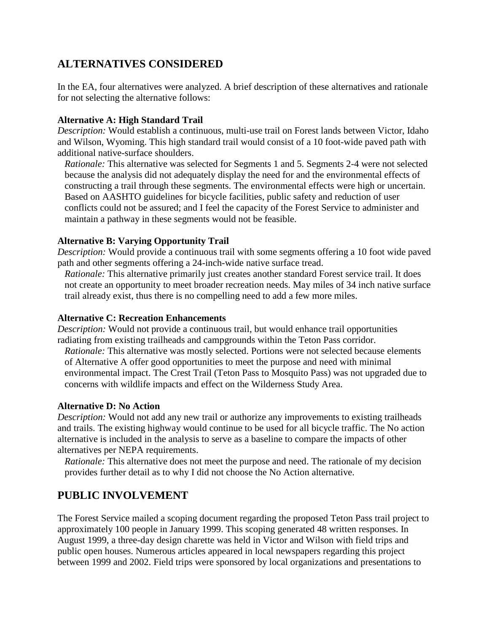### **ALTERNATIVES CONSIDERED**

In the EA, four alternatives were analyzed. A brief description of these alternatives and rationale for not selecting the alternative follows:

### **Alternative A: High Standard Trail**

*Description:* Would establish a continuous, multi-use trail on Forest lands between Victor, Idaho and Wilson, Wyoming. This high standard trail would consist of a 10 foot-wide paved path with additional native-surface shoulders.

*Rationale:* This alternative was selected for Segments 1 and 5. Segments 2-4 were not selected because the analysis did not adequately display the need for and the environmental effects of constructing a trail through these segments. The environmental effects were high or uncertain. Based on AASHTO guidelines for bicycle facilities, public safety and reduction of user conflicts could not be assured; and I feel the capacity of the Forest Service to administer and maintain a pathway in these segments would not be feasible.

### **Alternative B: Varying Opportunity Trail**

*Description:* Would provide a continuous trail with some segments offering a 10 foot wide paved path and other segments offering a 24-inch-wide native surface tread.

*Rationale:* This alternative primarily just creates another standard Forest service trail. It does not create an opportunity to meet broader recreation needs. May miles of 34 inch native surface trail already exist, thus there is no compelling need to add a few more miles.

### **Alternative C: Recreation Enhancements**

*Description:* Would not provide a continuous trail, but would enhance trail opportunities radiating from existing trailheads and campgrounds within the Teton Pass corridor.

*Rationale:* This alternative was mostly selected. Portions were not selected because elements of Alternative A offer good opportunities to meet the purpose and need with minimal environmental impact. The Crest Trail (Teton Pass to Mosquito Pass) was not upgraded due to concerns with wildlife impacts and effect on the Wilderness Study Area.

### **Alternative D: No Action**

*Description:* Would not add any new trail or authorize any improvements to existing trailheads and trails. The existing highway would continue to be used for all bicycle traffic. The No action alternative is included in the analysis to serve as a baseline to compare the impacts of other alternatives per NEPA requirements.

*Rationale:* This alternative does not meet the purpose and need. The rationale of my decision provides further detail as to why I did not choose the No Action alternative.

# **PUBLIC INVOLVEMENT**

The Forest Service mailed a scoping document regarding the proposed Teton Pass trail project to approximately 100 people in January 1999. This scoping generated 48 written responses. In August 1999, a three-day design charette was held in Victor and Wilson with field trips and public open houses. Numerous articles appeared in local newspapers regarding this project between 1999 and 2002. Field trips were sponsored by local organizations and presentations to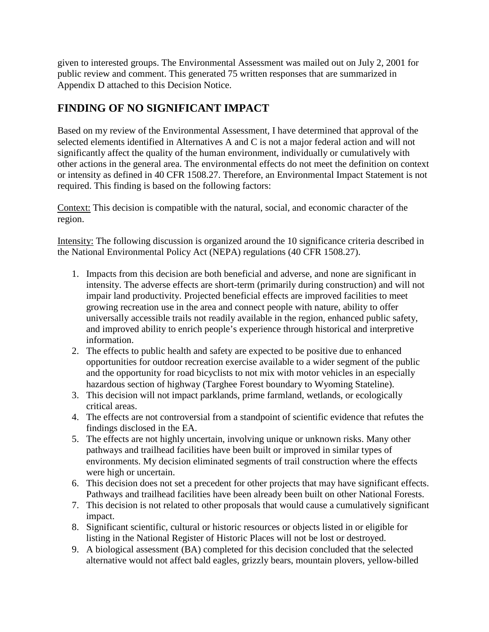given to interested groups. The Environmental Assessment was mailed out on July 2, 2001 for public review and comment. This generated 75 written responses that are summarized in Appendix D attached to this Decision Notice.

# **FINDING OF NO SIGNIFICANT IMPACT**

Based on my review of the Environmental Assessment, I have determined that approval of the selected elements identified in Alternatives A and C is not a major federal action and will not significantly affect the quality of the human environment, individually or cumulatively with other actions in the general area. The environmental effects do not meet the definition on context or intensity as defined in 40 CFR 1508.27. Therefore, an Environmental Impact Statement is not required. This finding is based on the following factors:

Context: This decision is compatible with the natural, social, and economic character of the region.

Intensity: The following discussion is organized around the 10 significance criteria described in the National Environmental Policy Act (NEPA) regulations (40 CFR 1508.27).

- 1. Impacts from this decision are both beneficial and adverse, and none are significant in intensity. The adverse effects are short-term (primarily during construction) and will not impair land productivity. Projected beneficial effects are improved facilities to meet growing recreation use in the area and connect people with nature, ability to offer universally accessible trails not readily available in the region, enhanced public safety, and improved ability to enrich people's experience through historical and interpretive information.
- 2. The effects to public health and safety are expected to be positive due to enhanced opportunities for outdoor recreation exercise available to a wider segment of the public and the opportunity for road bicyclists to not mix with motor vehicles in an especially hazardous section of highway (Targhee Forest boundary to Wyoming Stateline).
- 3. This decision will not impact parklands, prime farmland, wetlands, or ecologically critical areas.
- 4. The effects are not controversial from a standpoint of scientific evidence that refutes the findings disclosed in the EA.
- 5. The effects are not highly uncertain, involving unique or unknown risks. Many other pathways and trailhead facilities have been built or improved in similar types of environments. My decision eliminated segments of trail construction where the effects were high or uncertain.
- 6. This decision does not set a precedent for other projects that may have significant effects. Pathways and trailhead facilities have been already been built on other National Forests.
- 7. This decision is not related to other proposals that would cause a cumulatively significant impact.
- 8. Significant scientific, cultural or historic resources or objects listed in or eligible for listing in the National Register of Historic Places will not be lost or destroyed.
- 9. A biological assessment (BA) completed for this decision concluded that the selected alternative would not affect bald eagles, grizzly bears, mountain plovers, yellow-billed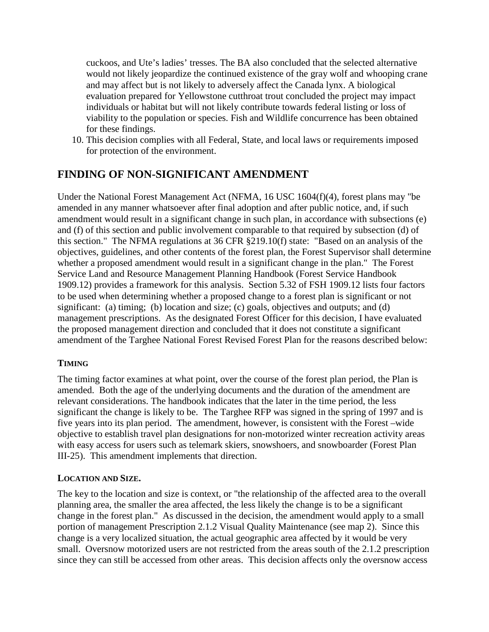cuckoos, and Ute's ladies' tresses. The BA also concluded that the selected alternative would not likely jeopardize the continued existence of the gray wolf and whooping crane and may affect but is not likely to adversely affect the Canada lynx. A biological evaluation prepared for Yellowstone cutthroat trout concluded the project may impact individuals or habitat but will not likely contribute towards federal listing or loss of viability to the population or species. Fish and Wildlife concurrence has been obtained for these findings.

10. This decision complies with all Federal, State, and local laws or requirements imposed for protection of the environment.

### **FINDING OF NON-SIGNIFICANT AMENDMENT**

Under the National Forest Management Act (NFMA, 16 USC 1604(f)(4), forest plans may "be amended in any manner whatsoever after final adoption and after public notice, and, if such amendment would result in a significant change in such plan, in accordance with subsections (e) and (f) of this section and public involvement comparable to that required by subsection (d) of this section." The NFMA regulations at 36 CFR §219.10(f) state: "Based on an analysis of the objectives, guidelines, and other contents of the forest plan, the Forest Supervisor shall determine whether a proposed amendment would result in a significant change in the plan." The Forest Service Land and Resource Management Planning Handbook (Forest Service Handbook 1909.12) provides a framework for this analysis. Section 5.32 of FSH 1909.12 lists four factors to be used when determining whether a proposed change to a forest plan is significant or not significant: (a) timing; (b) location and size; (c) goals, objectives and outputs; and (d) management prescriptions. As the designated Forest Officer for this decision, I have evaluated the proposed management direction and concluded that it does not constitute a significant amendment of the Targhee National Forest Revised Forest Plan for the reasons described below:

### **TIMING**

The timing factor examines at what point, over the course of the forest plan period, the Plan is amended. Both the age of the underlying documents and the duration of the amendment are relevant considerations. The handbook indicates that the later in the time period, the less significant the change is likely to be. The Targhee RFP was signed in the spring of 1997 and is five years into its plan period. The amendment, however, is consistent with the Forest –wide objective to establish travel plan designations for non-motorized winter recreation activity areas with easy access for users such as telemark skiers, snowshoers, and snowboarder (Forest Plan III-25). This amendment implements that direction.

#### **LOCATION AND SIZE.**

The key to the location and size is context, or "the relationship of the affected area to the overall planning area, the smaller the area affected, the less likely the change is to be a significant change in the forest plan." As discussed in the decision, the amendment would apply to a small portion of management Prescription 2.1.2 Visual Quality Maintenance (see map 2). Since this change is a very localized situation, the actual geographic area affected by it would be very small. Oversnow motorized users are not restricted from the areas south of the 2.1.2 prescription since they can still be accessed from other areas. This decision affects only the oversnow access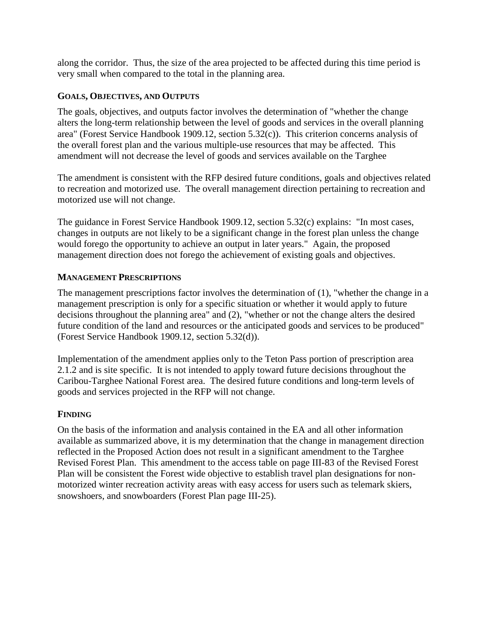along the corridor. Thus, the size of the area projected to be affected during this time period is very small when compared to the total in the planning area.

### **GOALS, OBJECTIVES, AND OUTPUTS**

The goals, objectives, and outputs factor involves the determination of "whether the change alters the long-term relationship between the level of goods and services in the overall planning area" (Forest Service Handbook 1909.12, section 5.32(c)). This criterion concerns analysis of the overall forest plan and the various multiple-use resources that may be affected. This amendment will not decrease the level of goods and services available on the Targhee

The amendment is consistent with the RFP desired future conditions, goals and objectives related to recreation and motorized use. The overall management direction pertaining to recreation and motorized use will not change.

The guidance in Forest Service Handbook 1909.12, section 5.32(c) explains: "In most cases, changes in outputs are not likely to be a significant change in the forest plan unless the change would forego the opportunity to achieve an output in later years." Again, the proposed management direction does not forego the achievement of existing goals and objectives.

#### **MANAGEMENT PRESCRIPTIONS**

The management prescriptions factor involves the determination of (1), "whether the change in a management prescription is only for a specific situation or whether it would apply to future decisions throughout the planning area" and (2), "whether or not the change alters the desired future condition of the land and resources or the anticipated goods and services to be produced" (Forest Service Handbook 1909.12, section 5.32(d)).

Implementation of the amendment applies only to the Teton Pass portion of prescription area 2.1.2 and is site specific. It is not intended to apply toward future decisions throughout the Caribou-Targhee National Forest area. The desired future conditions and long-term levels of goods and services projected in the RFP will not change.

### **FINDING**

On the basis of the information and analysis contained in the EA and all other information available as summarized above, it is my determination that the change in management direction reflected in the Proposed Action does not result in a significant amendment to the Targhee Revised Forest Plan. This amendment to the access table on page III-83 of the Revised Forest Plan will be consistent the Forest wide objective to establish travel plan designations for nonmotorized winter recreation activity areas with easy access for users such as telemark skiers, snowshoers, and snowboarders (Forest Plan page III-25).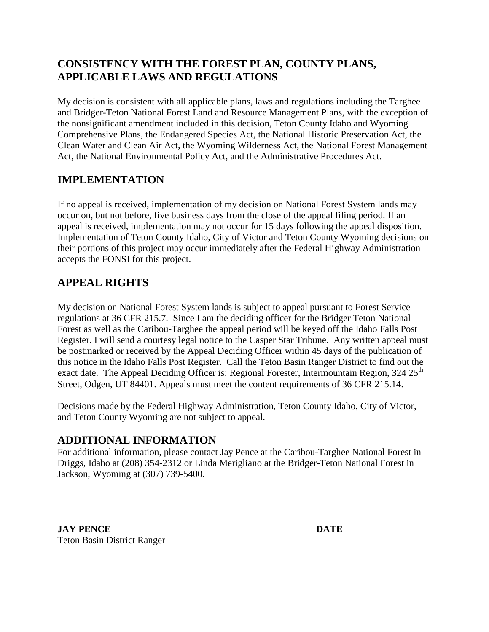## **CONSISTENCY WITH THE FOREST PLAN, COUNTY PLANS, APPLICABLE LAWS AND REGULATIONS**

My decision is consistent with all applicable plans, laws and regulations including the Targhee and Bridger-Teton National Forest Land and Resource Management Plans, with the exception of the nonsignificant amendment included in this decision, Teton County Idaho and Wyoming Comprehensive Plans, the Endangered Species Act, the National Historic Preservation Act, the Clean Water and Clean Air Act, the Wyoming Wilderness Act, the National Forest Management Act, the National Environmental Policy Act, and the Administrative Procedures Act.

# **IMPLEMENTATION**

If no appeal is received, implementation of my decision on National Forest System lands may occur on, but not before, five business days from the close of the appeal filing period. If an appeal is received, implementation may not occur for 15 days following the appeal disposition. Implementation of Teton County Idaho, City of Victor and Teton County Wyoming decisions on their portions of this project may occur immediately after the Federal Highway Administration accepts the FONSI for this project.

# **APPEAL RIGHTS**

My decision on National Forest System lands is subject to appeal pursuant to Forest Service regulations at 36 CFR 215.7. Since I am the deciding officer for the Bridger Teton National Forest as well as the Caribou-Targhee the appeal period will be keyed off the Idaho Falls Post Register. I will send a courtesy legal notice to the Casper Star Tribune. Any written appeal must be postmarked or received by the Appeal Deciding Officer within 45 days of the publication of this notice in the Idaho Falls Post Register. Call the Teton Basin Ranger District to find out the exact date. The Appeal Deciding Officer is: Regional Forester, Intermountain Region,  $324 25<sup>th</sup>$ Street, Odgen, UT 84401. Appeals must meet the content requirements of 36 CFR 215.14.

Decisions made by the Federal Highway Administration, Teton County Idaho, City of Victor, and Teton County Wyoming are not subject to appeal.

### **ADDITIONAL INFORMATION**

For additional information, please contact Jay Pence at the Caribou-Targhee National Forest in Driggs, Idaho at (208) 354-2312 or Linda Merigliano at the Bridger-Teton National Forest in Jackson, Wyoming at (307) 739-5400.

**JAY PENCE DATE** Teton Basin District Ranger

\_\_\_\_\_\_\_\_\_\_\_\_\_\_\_\_\_\_\_\_\_\_\_\_\_\_\_\_\_\_\_\_\_\_\_\_\_\_\_\_ \_\_\_\_\_\_\_\_\_\_\_\_\_\_\_\_\_\_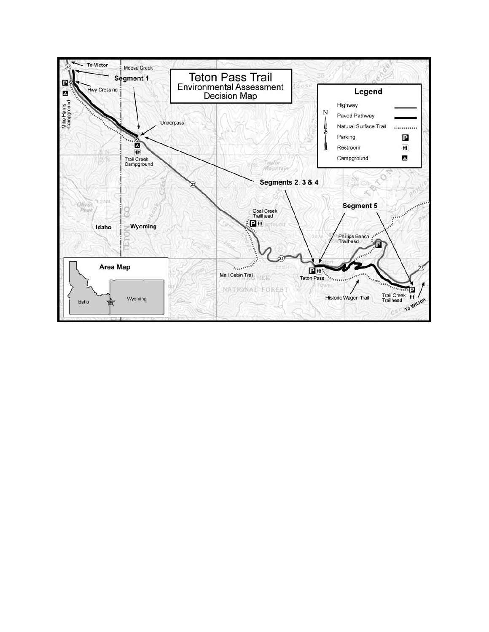